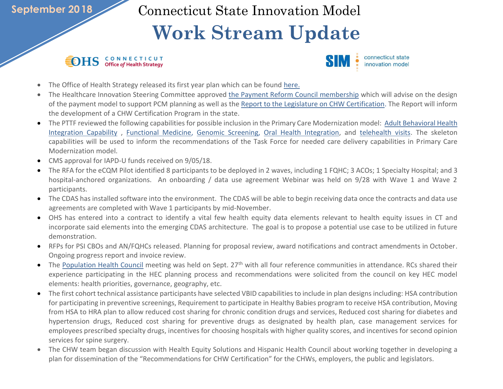## **September 2018**

Connecticut State Innovation Model

## **Work Stream Update**

## **IDHS** CONNECTICUT



- The Office of Health Strategy released its first year plan which can be found [here.](https://portal.ct.gov/-/media/OHS/docs/OHS-First-Year--Listening-Building-Moving-Forward.pdf)
- The Healthcare Innovation Steering Committee approved [the](http://www.healthreform.ct.gov/ohri/lib/ohri/hisc/2018/(2018-08-09)/pcm_payment_reform_council_charter_composition_proposed_20180809.pdf) Payment Reform Council membership which will advise on the design of the payment model to support PCM planning as well as the [Report to the Legislature on CHW Certification.](https://portal.ct.gov/-/media/OHS/SIM/CHW-Advisory-Committee/CHW_Legislative_Report_2018_Final_.pdf) The Report will inform the development of a CHW Certification Program in the state.
- The PTTF reviewed the following capabilities for possible inclusion in the Primary Care Modernization model: [Adult Behavioral Health](https://portal.ct.gov/-/media/OHS/SIM/PracticeTransformationTaskForce/2018/Meeting-09-25/Adult-BHI-Capability-Summary_Recommendations-for-Task-Force_092418.pdf)  [Integration Capability](https://portal.ct.gov/-/media/OHS/SIM/PracticeTransformationTaskForce/2018/Meeting-09-25/Adult-BHI-Capability-Summary_Recommendations-for-Task-Force_092418.pdf) , [Functional Medicine,](https://portal.ct.gov/-/media/OHS/SIM/PracticeTransformationTaskForce/2018/Meeting-09-04/Functional-Medicine-capability_PTTF_082818.pdf) [Genomic Screening,](https://portal.ct.gov/-/media/OHS/SIM/PracticeTransformationTaskForce/2018/Meeting-09-04/Genomic-Screening-for-CDC-Priority-Conditions_For_PTTF-082818.pdf) [Oral Health Integration,](https://portal.ct.gov/-/media/OHS/SIM/PracticeTransformationTaskForce/2018/Meeting-09-04/Oral-Health-Intergration-capability_PTTF_082818.pdf) and [telehealth visits.](https://portal.ct.gov/-/media/OHS/SIM/PracticeTransformationTaskForce/2018/Meeting-09-04/Telehealth-visits-capability_PTTF_082818.pdf) The skeleton capabilities will be used to inform the recommendations of the Task Force for needed care delivery capabilities in Primary Care Modernization model.
- CMS approval for IAPD-U funds received on 9/05/18.
- The RFA for the eCQM Pilot identified 8 participants to be deployed in 2 waves, including 1 FQHC; 3 ACOs; 1 Specialty Hospital; and 3 hospital-anchored organizations. An onboarding / data use agreement Webinar was held on 9/28 with Wave 1 and Wave 2 participants.
- The CDAS has installed software into the environment. The CDAS will be able to begin receiving data once the contracts and data use agreements are completed with Wave 1 participants by mid-November.
- OHS has entered into a contract to identify a vital few health equity data elements relevant to health equity issues in CT and incorporate said elements into the emerging CDAS architecture. The goal is to propose a potential use case to be utilized in future demonstration.
- RFPs for PSI CBOs and AN/FQHCs released. Planning for proposal review, award notifications and contract amendments in October. Ongoing progress report and invoice review.
- The [Population Health Council](https://portal.ct.gov/OHS/SIM-Work-Groups/Population-Health-Council/Meeting-Materials) meeting was held on Sept. 27<sup>th</sup> with all four reference communities in attendance. RCs shared their experience participating in the HEC planning process and recommendations were solicited from the council on key HEC model elements: health priorities, governance, geography, etc.
- The first cohort technical assistance participants have selected VBID capabilities to include in plan designs including: HSA contribution for participating in preventive screenings, Requirement to participate in Healthy Babies program to receive HSA contribution, Moving from HSA to HRA plan to allow reduced cost sharing for chronic condition drugs and services, Reduced cost sharing for diabetes and hypertension drugs, Reduced cost sharing for preventive drugs as designated by health plan, case management services for employees prescribed specialty drugs, incentives for choosing hospitals with higher quality scores, and incentives for second opinion services for spine surgery.
- The CHW team began discussion with Health Equity Solutions and Hispanic Health Council about working together in developing a plan for dissemination of the "Recommendations for CHW Certification" for the CHWs, employers, the public and legislators.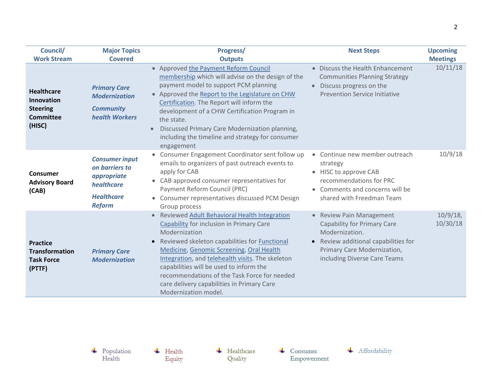| Council/                                                                         | <b>Major Topics</b>                                                                                        | Progress/                                                                                                                                                                                                                                                                                                                                                                                                                          | <b>Next Steps</b>                                                                                                                                                                       | <b>Upcoming</b>         |
|----------------------------------------------------------------------------------|------------------------------------------------------------------------------------------------------------|------------------------------------------------------------------------------------------------------------------------------------------------------------------------------------------------------------------------------------------------------------------------------------------------------------------------------------------------------------------------------------------------------------------------------------|-----------------------------------------------------------------------------------------------------------------------------------------------------------------------------------------|-------------------------|
| <b>Work Stream</b>                                                               | <b>Covered</b>                                                                                             | <b>Outputs</b>                                                                                                                                                                                                                                                                                                                                                                                                                     |                                                                                                                                                                                         | <b>Meetings</b>         |
| <b>Healthcare</b><br>Innovation<br><b>Steering</b><br><b>Committee</b><br>(HISC) | <b>Primary Care</b><br><b>Modernization</b><br><b>Community</b><br>health Workers                          | • Approved the Payment Reform Council<br>membership which will advise on the design of the<br>payment model to support PCM planning<br>Approved the Report to the Legislature on CHW<br>$\bullet$<br>Certification. The Report will inform the<br>development of a CHW Certification Program in<br>the state.<br>Discussed Primary Care Modernization planning,<br>including the timeline and strategy for consumer<br>engagement  | • Discuss the Health Enhancement<br><b>Communities Planning Strategy</b><br>Discuss progress on the<br><b>Prevention Service Initiative</b>                                             | 10/11/18                |
| Consumer<br><b>Advisory Board</b><br>(CAB)                                       | <b>Consumer input</b><br>on barriers to<br>appropriate<br>healthcare<br><b>Healthcare</b><br><b>Reform</b> | Consumer Engagement Coordinator sent follow up<br>emails to organizers of past outreach events to<br>apply for CAB<br>CAB approved consumer representatives for<br>Payment Reform Council (PRC)<br>Consumer representatives discussed PCM Design<br>$\bullet$<br>Group process                                                                                                                                                     | • Continue new member outreach<br>strategy<br>• HISC to approve CAB<br>recommendations for PRC<br>• Comments and concerns will be<br>shared with Freedman Team                          | 10/9/18                 |
| <b>Practice</b><br><b>Transformation</b><br><b>Task Force</b><br>(PTTF)          | <b>Primary Care</b><br><b>Modernization</b>                                                                | Reviewed Adult Behavioral Health Integration<br>Capability for inclusion in Primary Care<br>Modernization<br>Reviewed skeleton capabilities for <b>Functional</b><br>Medicine, Genomic Screening, Oral Health<br>Integration, and telehealth visits. The skeleton<br>capabilities will be used to inform the<br>recommendations of the Task Force for needed<br>care delivery capabilities in Primary Care<br>Modernization model. | • Review Pain Management<br><b>Capability for Primary Care</b><br>Modernization.<br>• Review additional capabilities for<br>Primary Care Modernization,<br>including Diverse Care Teams | $10/9/18$ ,<br>10/30/18 |

 $\leftarrow$  Health Equity  $\leftarrow$  Healthcare Quality

 $\leftarrow$  Consumer Empowerment

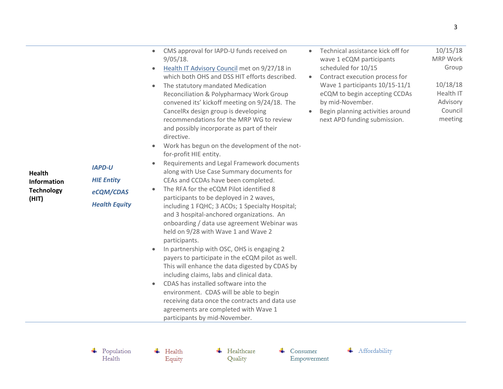- CMS approval for IAPD-U funds received on 9/05/18.
- [Health IT Advisory Council](https://portal.ct.gov/OHS/HIT-Work-Groups/Health-IT-Advisory-Council/Meeting-Materials) met on 9/27/18 in which both OHS and DSS HIT efforts described.
- The statutory mandated Medication Reconciliation & Polypharmacy Work Group convened its' kickoff meeting on 9/24/18. The CancelRx design group is developing recommendations for the MRP WG to review and possibly incorporate as part of their directive.
- Work has begun on the development of the notfor-profit HIE entity.
- Requirements and Legal Framework documents along with Use Case Summary documents for CEAs and CCDAs have been completed.
- The RFA for the eCQM Pilot identified 8 participants to be deployed in 2 waves, including 1 FQHC; 3 ACOs; 1 Specialty Hospital; and 3 hospital-anchored organizations. An onboarding / data use agreement Webinar was held on 9/28 with Wave 1 and Wave 2 participants.
- In partnership with OSC, OHS is engaging 2 payers to participate in the eCQM pilot as well. This will enhance the data digested by CDAS by including claims, labs and clinical data.
- CDAS has installed software into the environment. CDAS will be able to begin receiving data once the contracts and data use agreements are completed with Wave 1 participants by mid-November.
- Technical assistance kick off for wave 1 eCQM participants scheduled for 10/15 10/15/18 MRP Work Group
- Contract execution process for Wave 1 participants 10/15-11/1 eCQM to begin accepting CCDAs by mid-November. 10/18/18 Health IT Advisory
- Begin planning activities around next APD funding submission. Council meeting

**Health Information Technology (HIT)**

*IAPD-U HIE Entity eCQM/CDAS Health Equity*

 $\leftarrow$  Population Health

 $\leftarrow$  Health Equity  $\leftarrow$  Healthcare Quality

Consumer Empowerment

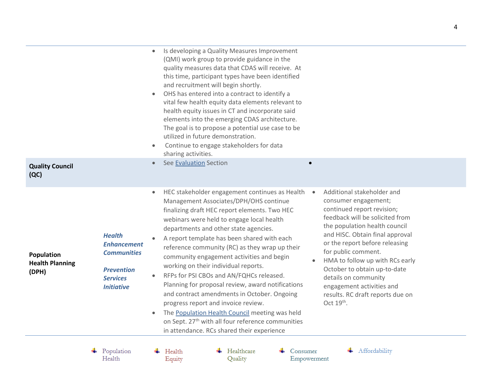| <b>Quality Council</b><br>(QC)                |                                                                                                                        | Is developing a Quality Measures Improvement<br>(QMI) work group to provide guidance in the<br>quality measures data that CDAS will receive. At<br>this time, participant types have been identified<br>and recruitment will begin shortly.<br>OHS has entered into a contract to identify a<br>vital few health equity data elements relevant to<br>health equity issues in CT and incorporate said<br>elements into the emerging CDAS architecture.<br>The goal is to propose a potential use case to be<br>utilized in future demonstration.<br>Continue to engage stakeholders for data<br>sharing activities.<br>See Evaluation Section                                                                                                                                                                                                                                                                                                                                                                                                                                                                                                                                                                               |
|-----------------------------------------------|------------------------------------------------------------------------------------------------------------------------|----------------------------------------------------------------------------------------------------------------------------------------------------------------------------------------------------------------------------------------------------------------------------------------------------------------------------------------------------------------------------------------------------------------------------------------------------------------------------------------------------------------------------------------------------------------------------------------------------------------------------------------------------------------------------------------------------------------------------------------------------------------------------------------------------------------------------------------------------------------------------------------------------------------------------------------------------------------------------------------------------------------------------------------------------------------------------------------------------------------------------------------------------------------------------------------------------------------------------|
| Population<br><b>Health Planning</b><br>(DPH) | <b>Health</b><br><b>Enhancement</b><br><b>Communities</b><br><b>Prevention</b><br><b>Services</b><br><b>Initiative</b> | Additional stakeholder and<br>HEC stakeholder engagement continues as Health<br>$\bullet$<br>consumer engagement;<br>Management Associates/DPH/OHS continue<br>continued report revision;<br>finalizing draft HEC report elements. Two HEC<br>feedback will be solicited from<br>webinars were held to engage local health<br>the population health council<br>departments and other state agencies.<br>and HISC. Obtain final approval<br>A report template has been shared with each<br>or the report before releasing<br>reference community (RC) as they wrap up their<br>for public comment.<br>community engagement activities and begin<br>HMA to follow up with RCs early<br>working on their individual reports.<br>October to obtain up-to-date<br>RFPs for PSI CBOs and AN/FQHCs released.<br>details on community<br>Planning for proposal review, award notifications<br>engagement activities and<br>and contract amendments in October. Ongoing<br>results. RC draft reports due on<br>Oct $19th$ .<br>progress report and invoice review.<br>The Population Health Council meeting was held<br>on Sept. 27 <sup>th</sup> with all four reference communities<br>in attendance. RCs shared their experience |

 $\begin{tabular}{c} \textbf{4} \quad Population \\ Health \end{tabular}$ 

 $\leftarrow$  Health Equity  $\leftarrow$  Healthcare Quality

 $\leftarrow$  Consumer Empowerment + Affordability

 $\overline{\phantom{0}}$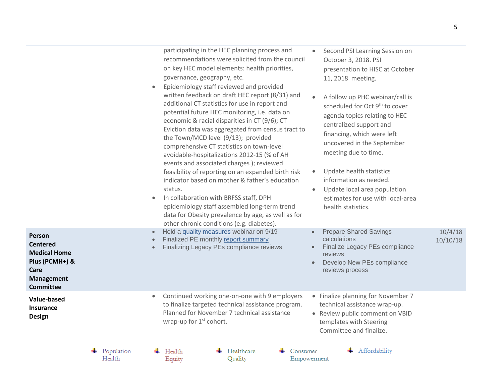|                                                                                                                     |                      | participating in the HEC planning process and<br>Second PSI Learning Session on<br>$\bullet$<br>recommendations were solicited from the council<br>October 3, 2018. PSI<br>on key HEC model elements: health priorities,<br>presentation to HISC at October<br>governance, geography, etc.<br>11, 2018 meeting.<br>Epidemiology staff reviewed and provided<br>$\bullet$<br>written feedback on draft HEC report (8/31) and<br>A follow up PHC webinar/call is<br>additional CT statistics for use in report and<br>scheduled for Oct 9 <sup>th</sup> to cover<br>potential future HEC monitoring, i.e. data on<br>agenda topics relating to HEC<br>economic & racial disparities in CT (9/6); CT<br>centralized support and<br>Eviction data was aggregated from census tract to<br>financing, which were left<br>the Town/MCD level (9/13); provided<br>uncovered in the September<br>comprehensive CT statistics on town-level<br>meeting due to time.<br>avoidable-hospitalizations 2012-15 (% of AH<br>events and associated charges ); reviewed<br>Update health statistics<br>feasibility of reporting on an expanded birth risk<br>$\bullet$<br>information as needed.<br>indicator based on mother & father's education<br>status.<br>Update local area population<br>$\bullet$<br>In collaboration with BRFSS staff, DPH<br>estimates for use with local-area<br>$\bullet$<br>epidemiology staff assembled long-term trend<br>health statistics.<br>data for Obesity prevalence by age, as well as for<br>other chronic conditions (e.g. diabetes). |                     |
|---------------------------------------------------------------------------------------------------------------------|----------------------|---------------------------------------------------------------------------------------------------------------------------------------------------------------------------------------------------------------------------------------------------------------------------------------------------------------------------------------------------------------------------------------------------------------------------------------------------------------------------------------------------------------------------------------------------------------------------------------------------------------------------------------------------------------------------------------------------------------------------------------------------------------------------------------------------------------------------------------------------------------------------------------------------------------------------------------------------------------------------------------------------------------------------------------------------------------------------------------------------------------------------------------------------------------------------------------------------------------------------------------------------------------------------------------------------------------------------------------------------------------------------------------------------------------------------------------------------------------------------------------------------------------------------------------------------------------|---------------------|
| Person<br><b>Centered</b><br><b>Medical Home</b><br>Plus (PCMH+) &<br>Care<br><b>Management</b><br><b>Committee</b> |                      | Held a quality measures webinar on 9/19<br><b>Prepare Shared Savings</b><br>Finalized PE monthly report summary<br>calculations<br>Finalize Legacy PEs compliance<br>Finalizing Legacy PEs compliance reviews<br>reviews<br>Develop New PEs compliance<br>$\bullet$<br>reviews process                                                                                                                                                                                                                                                                                                                                                                                                                                                                                                                                                                                                                                                                                                                                                                                                                                                                                                                                                                                                                                                                                                                                                                                                                                                                        | 10/4/18<br>10/10/18 |
| Value-based<br><b>Insurance</b><br><b>Design</b>                                                                    |                      | Continued working one-on-one with 9 employers<br>• Finalize planning for November 7<br>$\bullet$<br>to finalize targeted technical assistance program.<br>technical assistance wrap-up.<br>Planned for November 7 technical assistance<br>• Review public comment on VBID<br>wrap-up for 1 <sup>st</sup> cohort.<br>templates with Steering<br>Committee and finalize.                                                                                                                                                                                                                                                                                                                                                                                                                                                                                                                                                                                                                                                                                                                                                                                                                                                                                                                                                                                                                                                                                                                                                                                        |                     |
|                                                                                                                     | Population<br>Health | Affordability<br>Healthcare<br>Health<br>Consumer<br>Quality<br>Equity<br>Empowerment                                                                                                                                                                                                                                                                                                                                                                                                                                                                                                                                                                                                                                                                                                                                                                                                                                                                                                                                                                                                                                                                                                                                                                                                                                                                                                                                                                                                                                                                         |                     |

Equity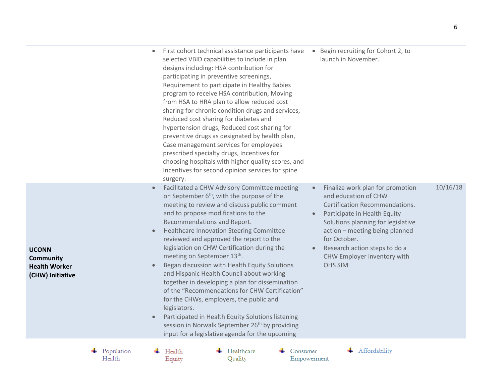|                                                                              |                      | Begin recruiting for Cohort 2, to<br>First cohort technical assistance participants have<br>$\bullet$<br>selected VBID capabilities to include in plan<br>launch in November.<br>designs including: HSA contribution for<br>participating in preventive screenings,<br>Requirement to participate in Healthy Babies<br>program to receive HSA contribution, Moving<br>from HSA to HRA plan to allow reduced cost<br>sharing for chronic condition drugs and services,<br>Reduced cost sharing for diabetes and<br>hypertension drugs, Reduced cost sharing for<br>preventive drugs as designated by health plan,<br>Case management services for employees<br>prescribed specialty drugs, Incentives for<br>choosing hospitals with higher quality scores, and<br>Incentives for second opinion services for spine<br>surgery.                                                                                                                                                                                                                                                                                                                                                                               |
|------------------------------------------------------------------------------|----------------------|--------------------------------------------------------------------------------------------------------------------------------------------------------------------------------------------------------------------------------------------------------------------------------------------------------------------------------------------------------------------------------------------------------------------------------------------------------------------------------------------------------------------------------------------------------------------------------------------------------------------------------------------------------------------------------------------------------------------------------------------------------------------------------------------------------------------------------------------------------------------------------------------------------------------------------------------------------------------------------------------------------------------------------------------------------------------------------------------------------------------------------------------------------------------------------------------------------------|
| <b>UCONN</b><br><b>Community</b><br><b>Health Worker</b><br>(CHW) Initiative |                      | 10/16/18<br>Facilitated a CHW Advisory Committee meeting<br>Finalize work plan for promotion<br>$\bullet$<br>on September 6 <sup>th</sup> , with the purpose of the<br>and education of CHW<br>meeting to review and discuss public comment<br>Certification Recommendations.<br>and to propose modifications to the<br>Participate in Health Equity<br>$\bullet$<br>Recommendations and Report.<br>Solutions planning for legislative<br>Healthcare Innovation Steering Committee<br>action - meeting being planned<br>$\bullet$<br>reviewed and approved the report to the<br>for October.<br>legislation on CHW Certification during the<br>Research action steps to do a<br>meeting on September 13 <sup>th</sup> .<br>CHW Employer inventory with<br>Began discussion with Health Equity Solutions<br><b>OHS SIM</b><br>and Hispanic Health Council about working<br>together in developing a plan for dissemination<br>of the "Recommendations for CHW Certification"<br>for the CHWs, employers, the public and<br>legislators.<br>Participated in Health Equity Solutions listening<br>session in Norwalk September 26 <sup>th</sup> by providing<br>input for a legislative agenda for the upcoming |
|                                                                              | Population<br>Health | Healthcare<br>Affordability<br>Health<br>Consumer<br>Quality<br>Equity<br>Empowerment                                                                                                                                                                                                                                                                                                                                                                                                                                                                                                                                                                                                                                                                                                                                                                                                                                                                                                                                                                                                                                                                                                                        |

Equity

6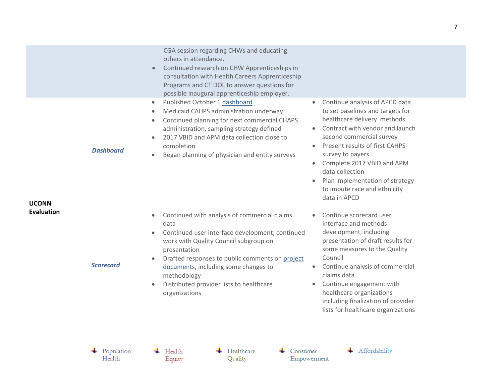<span id="page-6-0"></span>

|                                   |                      | CGA session regarding CHWs and educating<br>others in attendance.<br>Continued research on CHW Apprenticeships in<br>$\bullet$<br>consultation with Health Careers Apprenticeship<br>Programs and CT DOL to answer questions for<br>possible inaugural apprenticeship employer.                                                                                                                                                                                                                                                                                                                                                                                                                                                                                       |
|-----------------------------------|----------------------|-----------------------------------------------------------------------------------------------------------------------------------------------------------------------------------------------------------------------------------------------------------------------------------------------------------------------------------------------------------------------------------------------------------------------------------------------------------------------------------------------------------------------------------------------------------------------------------------------------------------------------------------------------------------------------------------------------------------------------------------------------------------------|
| <b>UCONN</b><br><b>Evaluation</b> | <b>Dashboard</b>     | Published October 1 dashboard<br>Continue analysis of APCD data<br>$\bullet$<br>$\bullet$<br>to set baselines and targets for<br>Medicaid CAHPS administration underway<br>$\bullet$<br>healthcare delivery methods<br>Continued planning for next commercial CHAPS<br>$\bullet$<br>Contract with vendor and launch<br>administration, sampling strategy defined<br>second commercial survey<br>2017 VBID and APM data collection close to<br>$\bullet$<br>Present results of first CAHPS<br>completion<br>$\bullet$<br>survey to payers<br>Began planning of physician and entity surveys<br>$\bullet$<br>Complete 2017 VBID and APM<br>$\bullet$<br>data collection<br>Plan implementation of strategy<br>$\bullet$<br>to impute race and ethnicity<br>data in APCD |
|                                   | <b>Scorecard</b>     | Continued with analysis of commercial claims<br>Continue scorecard user<br>$\bullet$<br>interface and methods<br>data<br>development, including<br>Continued user interface development; continued<br>$\bullet$<br>presentation of draft results for<br>work with Quality Council subgroup on<br>some measures to the Quality<br>presentation<br>Council<br>Drafted responses to public comments on project<br>$\bullet$<br>Continue analysis of commercial<br>documents, including some changes to<br>claims data<br>methodology<br>Continue engagement with<br>Distributed provider lists to healthcare<br>$\bullet$<br>healthcare organizations<br>organizations<br>including finalization of provider<br>lists for healthcare organizations                       |
|                                   | Population<br>Health | Affordability<br>Healthcare<br>Health<br>Consumer<br>Quality<br>Equity<br>Empowerment                                                                                                                                                                                                                                                                                                                                                                                                                                                                                                                                                                                                                                                                                 |

Equity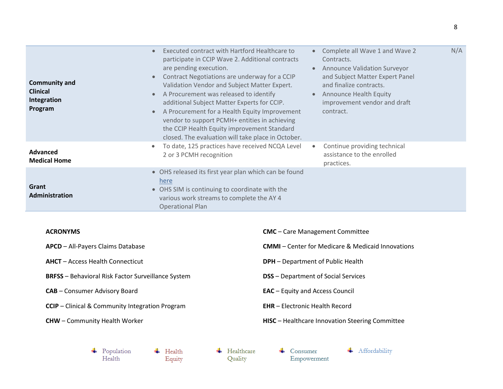| <b>Community and</b><br><b>Clinical</b><br>Integration<br>Program | Executed contract with Hartford Healthcare to<br>$\bullet$<br>participate in CCIP Wave 2. Additional contracts<br>are pending execution.<br>Contract Negotiations are underway for a CCIP<br>$\bullet$<br>Validation Vendor and Subject Matter Expert.<br>A Procurement was released to identify<br>$\bullet$<br>additional Subject Matter Experts for CCIP.<br>A Procurement for a Health Equity Improvement<br>$\bullet$<br>vendor to support PCMH+ entities in achieving<br>the CCIP Health Equity improvement Standard<br>closed. The evaluation will take place in October. | N/A<br>Complete all Wave 1 and Wave 2<br>Contracts.<br><b>Announce Validation Surveyor</b><br>and Subject Matter Expert Panel<br>and finalize contracts.<br><b>Announce Health Equity</b><br>$\bullet$<br>improvement vendor and draft<br>contract. |
|-------------------------------------------------------------------|----------------------------------------------------------------------------------------------------------------------------------------------------------------------------------------------------------------------------------------------------------------------------------------------------------------------------------------------------------------------------------------------------------------------------------------------------------------------------------------------------------------------------------------------------------------------------------|-----------------------------------------------------------------------------------------------------------------------------------------------------------------------------------------------------------------------------------------------------|
| Advanced<br><b>Medical Home</b>                                   | To date, 125 practices have received NCQA Level<br>$\bullet$<br>2 or 3 PCMH recognition                                                                                                                                                                                                                                                                                                                                                                                                                                                                                          | Continue providing technical<br>assistance to the enrolled<br>practices.                                                                                                                                                                            |
| Grant<br>Administration                                           | • OHS released its first year plan which can be found<br>here<br>• OHS SIM is continuing to coordinate with the<br>various work streams to complete the AY 4<br><b>Operational Plan</b>                                                                                                                                                                                                                                                                                                                                                                                          |                                                                                                                                                                                                                                                     |

## **ACRONYMS**

| <b>APCD</b> – All-Payers Claims Database                  | <b>CMMI</b> – Center for Medicare & Medicaid Innovations |
|-----------------------------------------------------------|----------------------------------------------------------|
| <b>AHCT</b> – Access Health Connecticut                   | <b>DPH</b> – Department of Public Health                 |
| <b>BRFSS</b> – Behavioral Risk Factor Surveillance System | <b>DSS</b> – Department of Social Services               |
| <b>CAB</b> – Consumer Advisory Board                      | <b>EAC</b> – Equity and Access Council                   |
| <b>CCIP</b> – Clinical & Community Integration Program    | <b>EHR</b> – Electronic Health Record                    |
| <b>CHW</b> – Community Health Worker                      | <b>HISC</b> – Healthcare Innovation Steering Committee   |

 $\begin{array}{c}\n\textcolor{red}{\bigarrow} & \text{Population} \\\textcolor{blue}{\textbf{Health}}\n\end{array}$  $\overline{\phantom{a}}$  Health Equity

 $\leftarrow$  Healthcare Quality

 $\leftarrow$  Consumer Empowerment

**CMC** – Care Management Committee